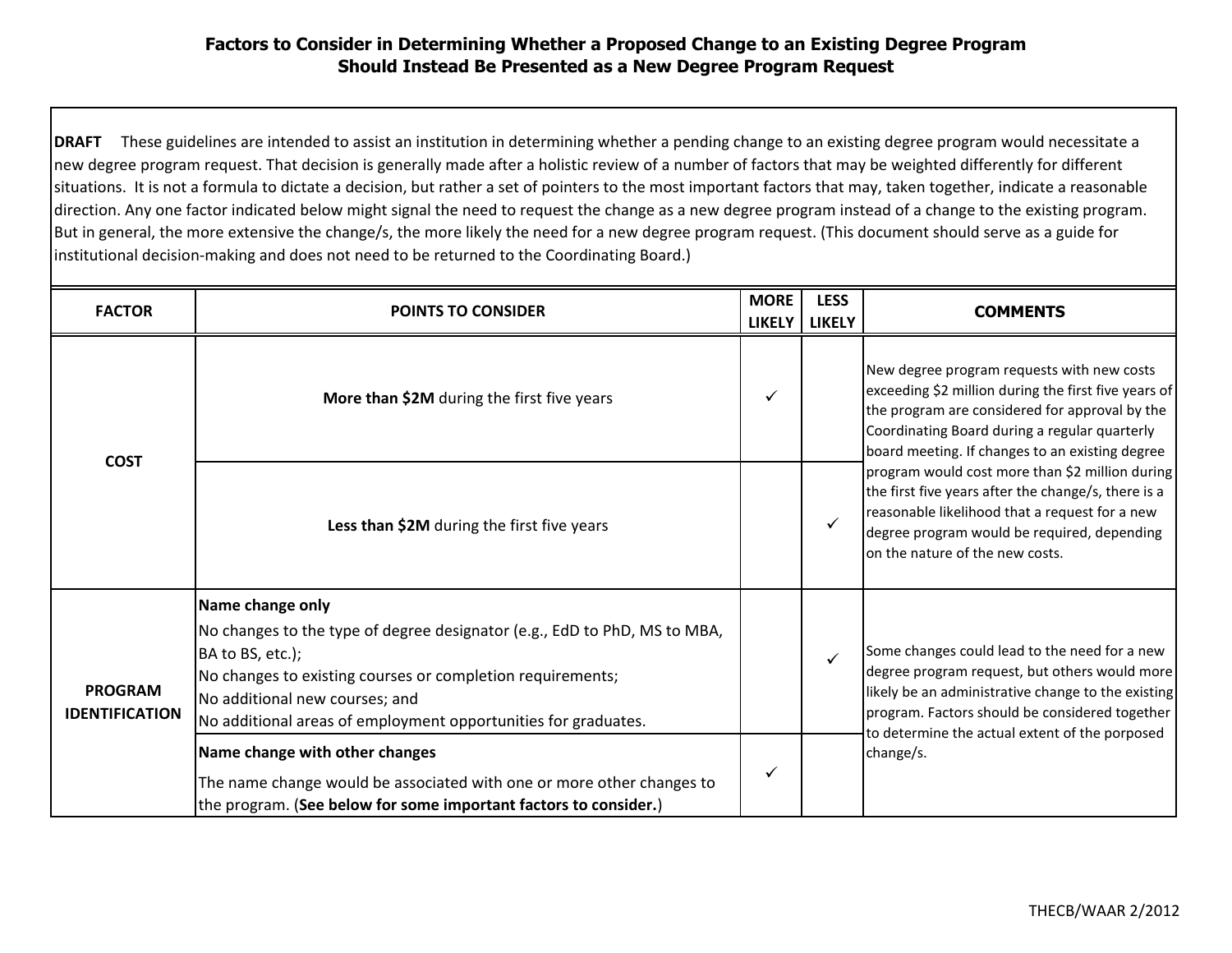## **Factors to Consider in Determining Whether a Proposed Change to an Existing Degree Program Should Instead Be Presented as a New Degree Program Request**

**DRAFT** These guidelines are intended to assist an institution in determining whether a pending change to an existing degree program would necessitate a new degree program request. That decision is generally made after a holistic review of a number of factors that may be weighted differently for different situations. It is not a formula to dictate a decision, but rather a set of pointers to the most important factors that may, taken together, indicate a reasonable direction. Any one factor indicated below might signal the need to request the change as a new degree program instead of a change to the existing program. But in general, the more extensive the change/s, the more likely the need for a new degree program request. (This document should serve as a guide for institutional decision-making and does not need to be returned to the Coordinating Board.)

| <b>FACTOR</b>                           | <b>POINTS TO CONSIDER</b>                                                                                                                                                                                                                                                           | <b>MORE</b>   | <b>LESS</b>   |                                                                                                                                                                                                                                                                                                                                                                                                                                                                                                        |
|-----------------------------------------|-------------------------------------------------------------------------------------------------------------------------------------------------------------------------------------------------------------------------------------------------------------------------------------|---------------|---------------|--------------------------------------------------------------------------------------------------------------------------------------------------------------------------------------------------------------------------------------------------------------------------------------------------------------------------------------------------------------------------------------------------------------------------------------------------------------------------------------------------------|
|                                         |                                                                                                                                                                                                                                                                                     | <b>LIKELY</b> | <b>LIKELY</b> | <b>COMMENTS</b>                                                                                                                                                                                                                                                                                                                                                                                                                                                                                        |
| <b>COST</b>                             | More than \$2M during the first five years                                                                                                                                                                                                                                          | ✓             |               | New degree program requests with new costs<br>exceeding \$2 million during the first five years of<br>the program are considered for approval by the<br>Coordinating Board during a regular quarterly<br>board meeting. If changes to an existing degree<br>program would cost more than \$2 million during<br>the first five years after the change/s, there is a<br>reasonable likelihood that a request for a new<br>degree program would be required, depending<br>on the nature of the new costs. |
|                                         | Less than \$2M during the first five years                                                                                                                                                                                                                                          |               |               |                                                                                                                                                                                                                                                                                                                                                                                                                                                                                                        |
| <b>PROGRAM</b><br><b>IDENTIFICATION</b> | Name change only<br>No changes to the type of degree designator (e.g., EdD to PhD, MS to MBA,<br>BA to BS, etc.);<br>No changes to existing courses or completion requirements;<br>No additional new courses; and<br>No additional areas of employment opportunities for graduates. |               |               | Some changes could lead to the need for a new<br>degree program request, but others would more<br>likely be an administrative change to the existing<br>program. Factors should be considered together<br>to determine the actual extent of the porposed<br>change/s.                                                                                                                                                                                                                                  |
|                                         | Name change with other changes<br>The name change would be associated with one or more other changes to<br>the program. (See below for some important factors to consider.)                                                                                                         | ✓             |               |                                                                                                                                                                                                                                                                                                                                                                                                                                                                                                        |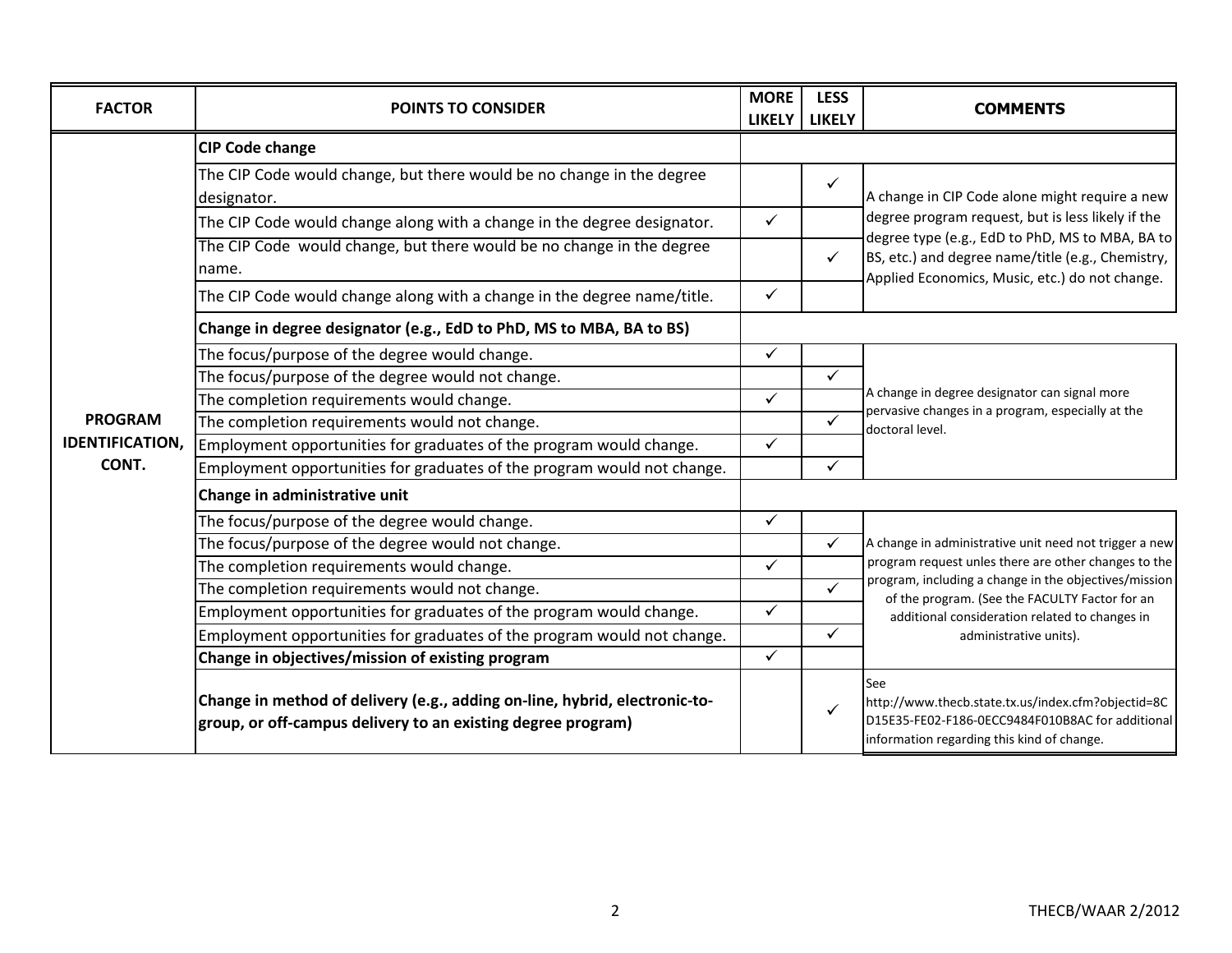| <b>FACTOR</b>          | <b>POINTS TO CONSIDER</b>                                                                                                                  | <b>MORE</b><br>LIKELY | <b>LESS</b><br><b>LIKELY</b> | <b>COMMENTS</b>                                                                                                                                                                                                                                                                                       |
|------------------------|--------------------------------------------------------------------------------------------------------------------------------------------|-----------------------|------------------------------|-------------------------------------------------------------------------------------------------------------------------------------------------------------------------------------------------------------------------------------------------------------------------------------------------------|
|                        | <b>CIP Code change</b>                                                                                                                     |                       |                              |                                                                                                                                                                                                                                                                                                       |
|                        | The CIP Code would change, but there would be no change in the degree<br>designator.                                                       |                       |                              | A change in CIP Code alone might require a new<br>degree program request, but is less likely if the<br>degree type (e.g., EdD to PhD, MS to MBA, BA to<br>BS, etc.) and degree name/title (e.g., Chemistry,<br>Applied Economics, Music, etc.) do not change.                                         |
|                        | The CIP Code would change along with a change in the degree designator.                                                                    | $\checkmark$          |                              |                                                                                                                                                                                                                                                                                                       |
|                        | The CIP Code would change, but there would be no change in the degree<br>name.                                                             |                       | $\checkmark$                 |                                                                                                                                                                                                                                                                                                       |
|                        | The CIP Code would change along with a change in the degree name/title.                                                                    | $\checkmark$          |                              |                                                                                                                                                                                                                                                                                                       |
|                        | Change in degree designator (e.g., EdD to PhD, MS to MBA, BA to BS)                                                                        |                       |                              |                                                                                                                                                                                                                                                                                                       |
|                        | The focus/purpose of the degree would change.                                                                                              | $\checkmark$          |                              |                                                                                                                                                                                                                                                                                                       |
|                        | The focus/purpose of the degree would not change.                                                                                          |                       | $\checkmark$                 |                                                                                                                                                                                                                                                                                                       |
|                        | The completion requirements would change.                                                                                                  | $\checkmark$          |                              | A change in degree designator can signal more<br>pervasive changes in a program, especially at the<br>doctoral level.                                                                                                                                                                                 |
| <b>PROGRAM</b>         | The completion requirements would not change.                                                                                              |                       | $\checkmark$                 |                                                                                                                                                                                                                                                                                                       |
| <b>IDENTIFICATION,</b> | Employment opportunities for graduates of the program would change.                                                                        | $\checkmark$          |                              |                                                                                                                                                                                                                                                                                                       |
| CONT.                  | Employment opportunities for graduates of the program would not change.                                                                    |                       | $\checkmark$                 |                                                                                                                                                                                                                                                                                                       |
|                        | Change in administrative unit                                                                                                              |                       |                              |                                                                                                                                                                                                                                                                                                       |
|                        | The focus/purpose of the degree would change.                                                                                              | $\checkmark$          |                              | A change in administrative unit need not trigger a new<br>program request unles there are other changes to the<br>program, including a change in the objectives/mission<br>of the program. (See the FACULTY Factor for an<br>additional consideration related to changes in<br>administrative units). |
|                        | The focus/purpose of the degree would not change.                                                                                          |                       | $\checkmark$                 |                                                                                                                                                                                                                                                                                                       |
|                        | The completion requirements would change.                                                                                                  | $\checkmark$          |                              |                                                                                                                                                                                                                                                                                                       |
|                        | The completion requirements would not change.                                                                                              |                       | $\checkmark$                 |                                                                                                                                                                                                                                                                                                       |
|                        | Employment opportunities for graduates of the program would change.                                                                        | $\checkmark$          |                              |                                                                                                                                                                                                                                                                                                       |
|                        | Employment opportunities for graduates of the program would not change.                                                                    |                       | $\checkmark$                 |                                                                                                                                                                                                                                                                                                       |
|                        | Change in objectives/mission of existing program                                                                                           | $\checkmark$          |                              |                                                                                                                                                                                                                                                                                                       |
|                        | Change in method of delivery (e.g., adding on-line, hybrid, electronic-to-<br>group, or off-campus delivery to an existing degree program) |                       |                              | See<br>http://www.thecb.state.tx.us/index.cfm?objectid=8C<br>D15E35-FE02-F186-0ECC9484F010B8AC for additional<br>information regarding this kind of change.                                                                                                                                           |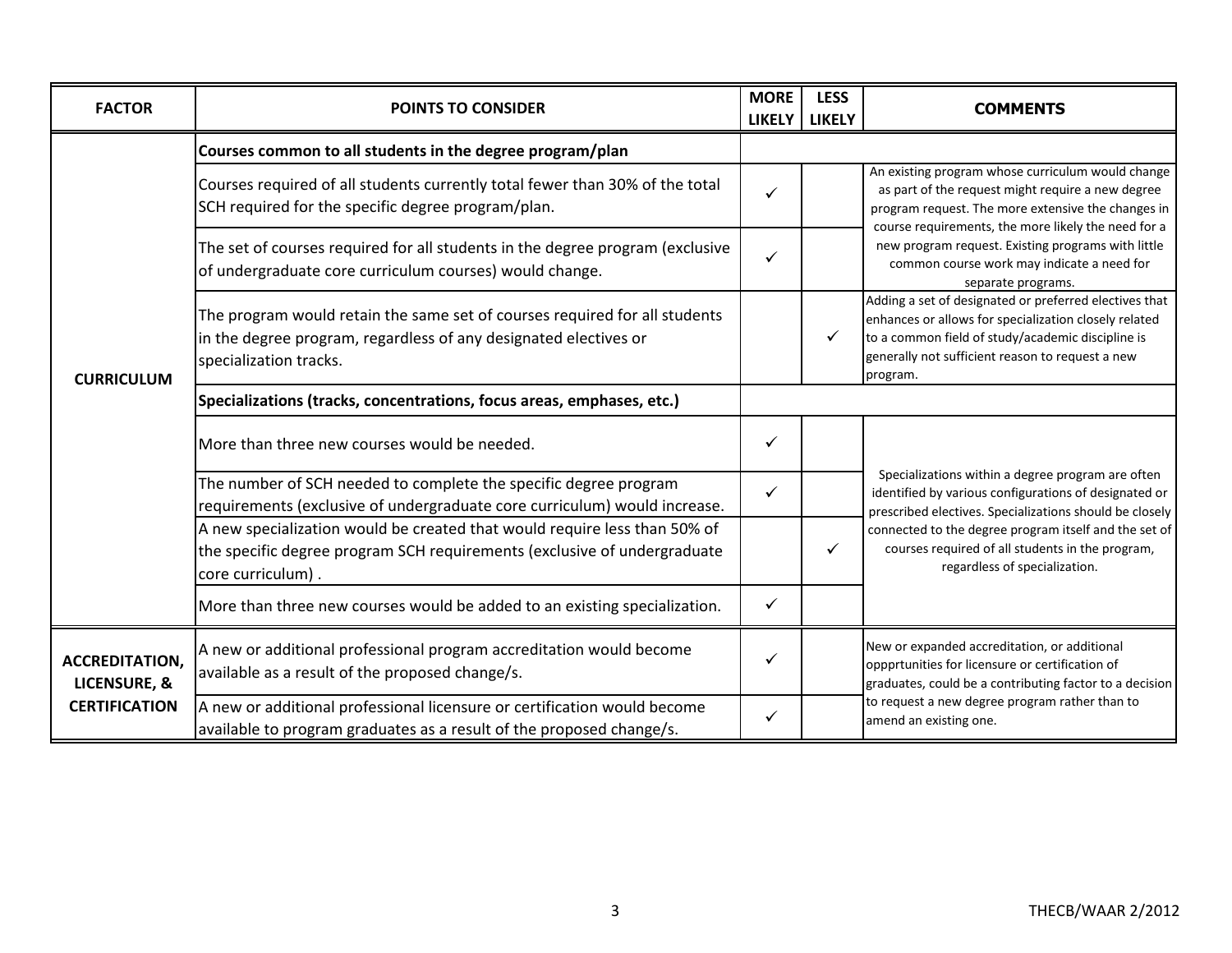| <b>FACTOR</b>                                                 | <b>POINTS TO CONSIDER</b>                                                                                                                                                  | <b>MORE</b><br><b>LIKELY</b> | <b>LESS</b><br><b>LIKELY</b> | <b>COMMENTS</b>                                                                                                                                                                                                                                                                                                                               |
|---------------------------------------------------------------|----------------------------------------------------------------------------------------------------------------------------------------------------------------------------|------------------------------|------------------------------|-----------------------------------------------------------------------------------------------------------------------------------------------------------------------------------------------------------------------------------------------------------------------------------------------------------------------------------------------|
| <b>CURRICULUM</b>                                             | Courses common to all students in the degree program/plan                                                                                                                  |                              |                              |                                                                                                                                                                                                                                                                                                                                               |
|                                                               | Courses required of all students currently total fewer than 30% of the total<br>SCH required for the specific degree program/plan.                                         |                              |                              | An existing program whose curriculum would change<br>as part of the request might require a new degree<br>program request. The more extensive the changes in<br>course requirements, the more likely the need for a<br>new program request. Existing programs with little<br>common course work may indicate a need for<br>separate programs. |
|                                                               | The set of courses required for all students in the degree program (exclusive<br>of undergraduate core curriculum courses) would change.                                   | ✓                            |                              |                                                                                                                                                                                                                                                                                                                                               |
|                                                               | The program would retain the same set of courses required for all students<br>in the degree program, regardless of any designated electives or<br>specialization tracks.   |                              |                              | Adding a set of designated or preferred electives that<br>enhances or allows for specialization closely related<br>to a common field of study/academic discipline is<br>generally not sufficient reason to request a new<br>program.                                                                                                          |
|                                                               | Specializations (tracks, concentrations, focus areas, emphases, etc.)                                                                                                      |                              |                              |                                                                                                                                                                                                                                                                                                                                               |
|                                                               | More than three new courses would be needed.                                                                                                                               | ✓                            |                              |                                                                                                                                                                                                                                                                                                                                               |
|                                                               | The number of SCH needed to complete the specific degree program<br>requirements (exclusive of undergraduate core curriculum) would increase.                              | ✓                            |                              | Specializations within a degree program are often<br>identified by various configurations of designated or<br>prescribed electives. Specializations should be closely<br>connected to the degree program itself and the set of<br>courses required of all students in the program,<br>regardless of specialization.                           |
|                                                               | A new specialization would be created that would require less than 50% of<br>the specific degree program SCH requirements (exclusive of undergraduate<br>core curriculum). |                              | ✓                            |                                                                                                                                                                                                                                                                                                                                               |
|                                                               | More than three new courses would be added to an existing specialization.                                                                                                  | ✓                            |                              |                                                                                                                                                                                                                                                                                                                                               |
| <b>ACCREDITATION,</b><br>LICENSURE, &<br><b>CERTIFICATION</b> | A new or additional professional program accreditation would become<br>available as a result of the proposed change/s.                                                     | ✓                            |                              | New or expanded accreditation, or additional<br>oppprtunities for licensure or certification of<br>graduates, could be a contributing factor to a decision<br>to request a new degree program rather than to<br>amend an existing one.                                                                                                        |
|                                                               | A new or additional professional licensure or certification would become<br>available to program graduates as a result of the proposed change/s.                           | ✓                            |                              |                                                                                                                                                                                                                                                                                                                                               |